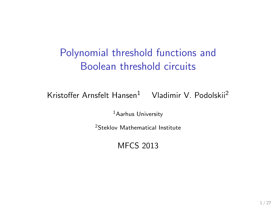# Polynomial threshold functions and Boolean threshold circuits

Kristoffer Arnsfelt Hansen<sup>1</sup> Vladimir V. Podolskii<sup>2</sup>

<sup>1</sup> Aarhus University

<sup>2</sup>Steklov Mathematical Institute

MFCS 2013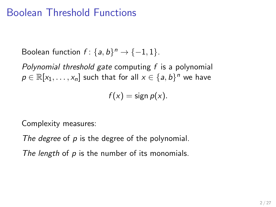# Boolean Threshold Functions

Boolean function  $f: \{a, b\}^n \rightarrow \{-1, 1\}.$ 

Polynomial threshold gate computing  $f$  is a polynomial  $p \in \mathbb{R}[x_1,\ldots,x_n]$  such that for all  $x \in \{a,b\}^n$  we have

 $f(x) = \text{sign } p(x)$ .

Complexity measures:

The degree of p is the degree of the polynomial.

The length of  $p$  is the number of its monomials.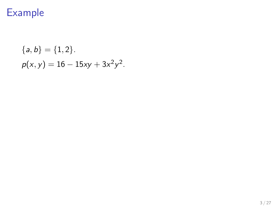# Example

{
$$
a, b
$$
} = {1,2}.  
 $p(x, y) = 16 - 15xy + 3x^2y^2$ .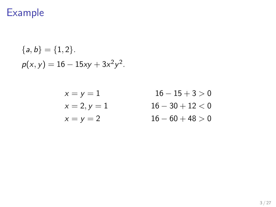# Example

{
$$
a, b
$$
} = {1, 2}.  
 $p(x, y) = 16 - 15xy + 3x^2y^2$ .

$$
x = y = 1
$$
  

$$
x = 2, y = 1
$$
  

$$
x = y = 2
$$

 $16 - 15 + 3 > 0$  $16 - 30 + 12 < 0$  $16 - 60 + 48 > 0$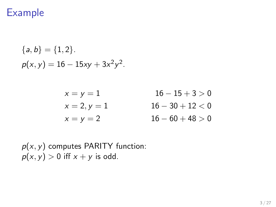# Example

{
$$
a, b
$$
} = {1, 2}.  
 $p(x, y) = 16 - 15xy + 3x^2y^2$ .

| $x = y = 1$    | $16 - 15 + 3 > 0$  |
|----------------|--------------------|
| $x = 2, y = 1$ | $16 - 30 + 12 < 0$ |
| $x = y = 2$    | $16 - 60 + 48 > 0$ |

 $p(x, y)$  computes PARITY function:  $p(x, y) > 0$  iff  $x + y$  is odd.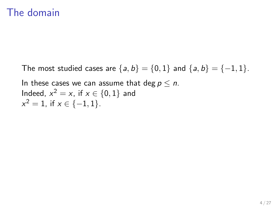## The domain

The most studied cases are  $\{a, b\} = \{0, 1\}$  and  $\{a, b\} = \{-1, 1\}$ .

In these cases we can assume that deg  $p \leq n$ . Indeed,  $x^2 = x$ , if  $x \in \{0, 1\}$  and  $x^2 = 1$ , if  $x \in \{-1, 1\}$ .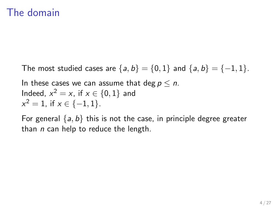# The domain

The most studied cases are  $\{a, b\} = \{0, 1\}$  and  $\{a, b\} = \{-1, 1\}$ .

In these cases we can assume that deg  $p \le n$ . Indeed,  $x^2 = x$ , if  $x \in \{0, 1\}$  and  $x^2 = 1$ , if  $x \in \{-1, 1\}$ .

For general  $\{a, b\}$  this is not the case, in principle degree greater than  $n$  can help to reduce the length.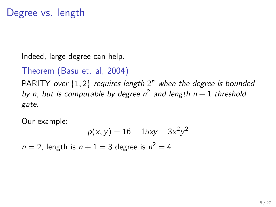# Degree vs. length

Indeed, large degree can help.

### Theorem (Basu et. al, 2004)

PARITY over  $\{1,2\}$  requires length  $2^n$  when the degree is bounded by n, but is computable by degree  $n^2$  and length  $n+1$  threshold gate.

Our example:

$$
p(x, y) = 16 - 15xy + 3x^2y^2
$$

 $n = 2$ , length is  $n + 1 = 3$  degree is  $n^2 = 4$ .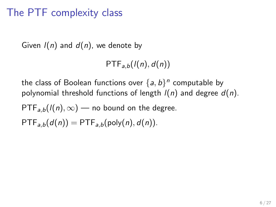# The PTF complexity class

Given  $I(n)$  and  $d(n)$ , we denote by

 $PTF_{a,b}(l(n), d(n))$ 

the class of Boolean functions over  $\{a,b\}^n$  computable by polynomial threshold functions of length  $I(n)$  and degree  $d(n)$ .

 $PTF_{a,b}(l(n), \infty)$  — no bound on the degree.

 $PTF_{a,b}(d(n)) = PTF_{a,b}(poly(n), d(n)).$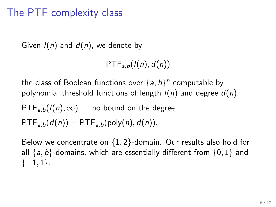# The PTF complexity class

Given  $I(n)$  and  $d(n)$ , we denote by

 $PTF_{a,b}(l(n), d(n))$ 

the class of Boolean functions over  $\{a,b\}^n$  computable by polynomial threshold functions of length  $I(n)$  and degree  $d(n)$ .

 $PTF_{a,b}(l(n), \infty)$  — no bound on the degree.

 $PTF_{a,b}(d(n)) = PTF_{a,b}(poly(n), d(n)).$ 

Below we concentrate on  $\{1,2\}$ -domain. Our results also hold for all  $\{a, b\}$ -domains, which are essentially different from  $\{0, 1\}$  and  $\{-1,1\}.$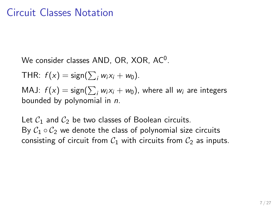# Circuit Classes Notation

We consider classes  $AND$ ,  $OR$ ,  $XOR$ ,  $AC<sup>0</sup>$ .

THR:  $f(x) = sign(\sum_i w_i x_i + w_0)$ .

MAJ:  $f(x) = \mathsf{sign}(\sum_i w_i x_i + w_0)$ , where all  $w_i$  are integers bounded by polynomial in n.

Let  $C_1$  and  $C_2$  be two classes of Boolean circuits. By  $C_1 \circ C_2$  we denote the class of polynomial size circuits consisting of circuit from  $C_1$  with circuits from  $C_2$  as inputs.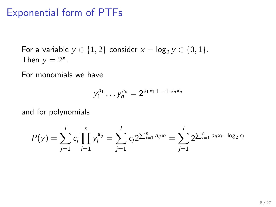## Exponential form of PTFs

For a variable  $y \in \{1,2\}$  consider  $x = \log_2 y \in \{0,1\}$ . Then  $y = 2^x$ .

For monomials we have

$$
y_1^{a_1} \dots y_n^{a_n} = 2^{a_1 x_1 + \dots + a_n x_n}
$$

and for polynomials

$$
P(y) = \sum_{j=1}^{l} c_j \prod_{i=1}^{n} y_i^{a_{ij}} = \sum_{j=1}^{l} c_j 2^{\sum_{i=1}^{n} a_{ij} x_i} = \sum_{j=1}^{l} 2^{\sum_{i=1}^{n} a_{ij} x_i + \log_2 c_j}
$$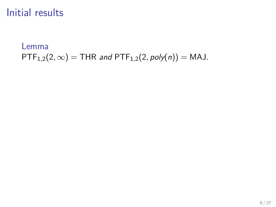## Initial results

Lemma  $PTF_{1,2}(2, \infty) = THR$  and  $PTF_{1,2}(2, poly(n)) = MAJ$ .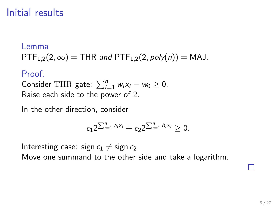# Initial results

#### Lemma

 $PTF_{1,2}(2, \infty) = THR$  and  $PTF_{1,2}(2, poly(n)) = MAJ$ .

### Proof.

Consider THR gate:  $\sum_{i=1}^{n} w_i x_i - w_0 \ge 0$ . Raise each side to the power of 2.

In the other direction, consider

$$
c_1 2^{\sum_{i=1}^n a_i x_i} + c_2 2^{\sum_{i=1}^n b_i x_i} \geq 0.
$$

Interesting case: sign  $c_1 \neq$  sign  $c_2$ . Move one summand to the other side and take a logarithm.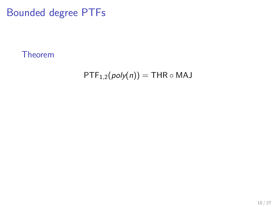# Bounded degree PTFs

Theorem

 $PTF_{1,2}(poly(n)) = THR \circ MAJ$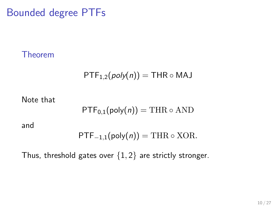Bounded degree PTFs

Theorem

$$
\mathsf{PTF}_{1,2}(poly(n)) = \mathsf{THR} \circ \mathsf{MAJ}
$$

Note that

$$
\mathsf{PTF}_{0,1}(\mathsf{poly}(n)) = \mathrm{THR} \circ \mathrm{AND}
$$

and

$$
PTF_{-1,1}(poly(n)) = \text{THR} \circ \text{XOR}.
$$

Thus, threshold gates over  $\{1,2\}$  are strictly stronger.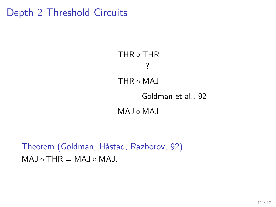# Depth 2 Threshold Circuits



Theorem (Goldman, Håstad, Razborov, 92)  $MAJ \circ THR = MAJ \circ MAJ$ .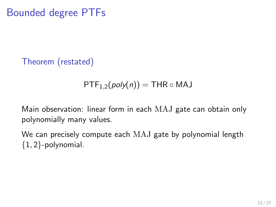# Bounded degree PTFs

Theorem (restated)

$$
\mathsf{PTF}_{1,2}(poly(n)) = \mathsf{THR} \circ \mathsf{MAJ}
$$

Main observation: linear form in each MAJ gate can obtain only polynomially many values.

We can precisely compute each MAJ gate by polynomial length  ${1, 2}$ -polynomial.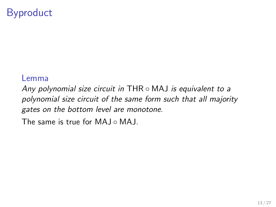# Byproduct

#### Lemma

Any polynomial size circuit in THR  $\circ$  MAJ is equivalent to a polynomial size circuit of the same form such that all majority gates on the bottom level are monotone.

The same is true for MAI ◦ MAI.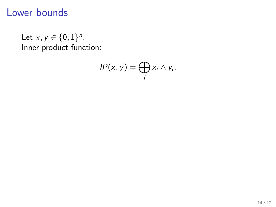# Lower bounds

Let  $x, y \in \{0, 1\}^n$ . Inner product function:

$$
IP(x, y) = \bigoplus_i x_i \wedge y_i.
$$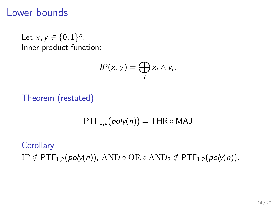### Lower bounds

Let  $x, y \in \{0, 1\}^n$ . Inner product function:

$$
IP(x, y) = \bigoplus_i x_i \wedge y_i.
$$

Theorem (restated)

 $PTF_{1,2}(poly(n)) = THR \circ MAJ$ 

**Corollary** IP  $\notin$  PTF<sub>1,2</sub>(poly(n)), AND ◦ OR ◦ AND<sub>2</sub>  $\notin$  PTF<sub>1,2</sub>(poly(n)).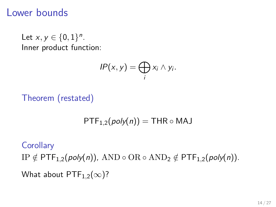### Lower bounds

Let  $x, y \in \{0, 1\}^n$ . Inner product function:

$$
IP(x, y) = \bigoplus_i x_i \wedge y_i.
$$

Theorem (restated)

 $PTF_{1,2}(poly(n)) = THR \circ MAJ$ 

#### **Corollary**

IP  $\notin$  PTF<sub>1,2</sub>(poly(n)), AND ◦ OR ◦ AND<sub>2</sub>  $\notin$  PTF<sub>1,2</sub>(poly(n)). What about  $PTF_{1,2}(\infty)$ ?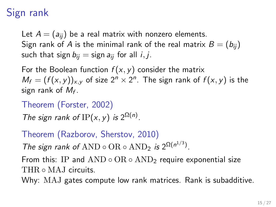# Sign rank

Let  $A = (a_{ii})$  be a real matrix with nonzero elements. Sign rank of A is the minimal rank of the real matrix  $B = (b_{ij})$ such that sign  $b_{ii}$  = sign  $a_{ii}$  for all *i*, *j*.

For the Boolean function  $f(x, y)$  consider the matrix  $M_f = (f(x, y))_{x, y}$  of size  $2^n \times 2^n$ . The sign rank of  $f(x, y)$  is the sign rank of  $M_f$ .

Theorem (Forster, 2002)

The sign rank of IP(x, y) is  $2^{\Omega(n)}$ .

Theorem (Razborov, Sherstov, 2010)

The sign rank of AND  $\circ$  OR  $\circ$  AND<sub>2</sub> is  $2^{\Omega(n^{1/3})}$ .

From this: IP and  $AND \circ OR \circ AND$  require exponential size THR ⊙ MAJ circuits.

Why: MAJ gates compute low rank matrices. Rank is subadditive.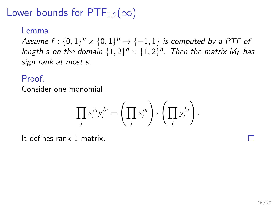# Lower bounds for  $PTF_{1,2}(\infty)$

#### Lemma

Assume  $f: \{0,1\}^n \times \{0,1\}^n \rightarrow \{-1,1\}$  is computed by a PTF of length s on the domain  $\{1,2\}^n \times \{1,2\}^n$ . Then the matrix  $M_f$  has sign rank at most s.

### Proof.

Consider one monomial

$$
\prod_i x_i^{a_i} y_i^{b_i} = \left(\prod_i x_i^{a_i}\right) \cdot \left(\prod_i y_i^{b_i}\right).
$$

It defines rank 1 matrix.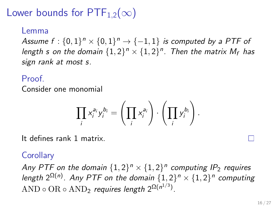# Lower bounds for  $PTF_{1,2}(\infty)$

### Lemma

Assume  $f: \{0,1\}^n \times \{0,1\}^n \rightarrow \{-1,1\}$  is computed by a PTF of length s on the domain  $\{1,2\}^n \times \{1,2\}^n$ . Then the matrix  $M_f$  has sign rank at most s.

### Proof.

Consider one monomial

$$
\prod_i x_i^{a_i} y_i^{b_i} = \left(\prod_i x_i^{a_i}\right) \cdot \left(\prod_i y_i^{b_i}\right).
$$

It defines rank 1 matrix.

### **Corollary**

Any PTF on the domain  $\{1,2\}^n \times \{1,2\}^n$  computing IP<sub>2</sub> requires length  $2^{\Omega(n)}$ . Any PTF on the domain  $\{1,2\}^n \times \{1,2\}^n$  computing  $\text{AND} \circ \text{OR} \circ \text{AND}_2$  requires length  $2^{\Omega(n^{1/3})}$ .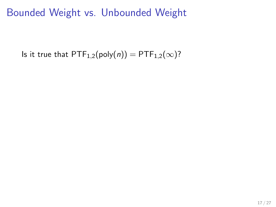Is it true that  $PTF_{1,2}(poly(n)) = PTF_{1,2}(\infty)$ ?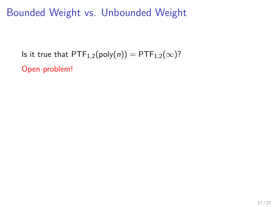Is it true that  $PTF_{1,2}(poly(n)) = PTF_{1,2}(\infty)$ ?

Open problem!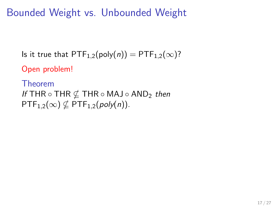Is it true that  $PTF_{1,2}(poly(n)) = PTF_{1,2}(\infty)$ ?

Open problem!

Theorem If THR  $\circ$  THR  $\notin$  THR  $\circ$  MAJ  $\circ$  AND<sub>2</sub> then  $PTF_{1,2}(\infty) \nsubseteq PTF_{1,2}(poly(n)).$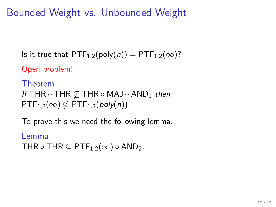Is it true that  $PTF_{1,2}(poly(n)) = PTF_{1,2}(\infty)$ ?

Open problem!

Theorem If THR  $\circ$  THR  $\notin$  THR  $\circ$  MAJ  $\circ$  AND<sub>2</sub> then  $PTF_{1,2}(\infty) \nsubseteq PTF_{1,2}(poly(n)).$ 

To prove this we need the following lemma.

Lemma THR  $\circ$  THR  $\subseteq$  PTF<sub>1.2</sub>( $\infty$ )  $\circ$  AND<sub>2</sub>.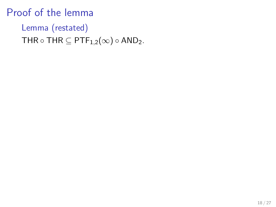# Proof of the lemma

# Lemma (restated) THR  $\circ$  THR  $\subseteq$  PTF<sub>1,2</sub>( $\infty$ )  $\circ$  AND<sub>2</sub>.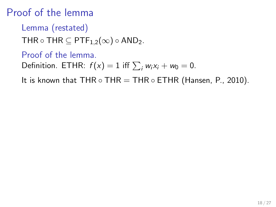# Proof of the lemma

Lemma (restated)

THR  $\circ$  THR  $\subseteq$  PTF<sub>1,2</sub>( $\infty$ )  $\circ$  AND<sub>2</sub>.

Proof of the lemma. Definition. ETHR:  $f(x) = 1$  iff  $\sum_i w_i x_i + w_0 = 0$ .

It is known that THR  $\circ$  THR = THR  $\circ$  ETHR (Hansen, P., 2010).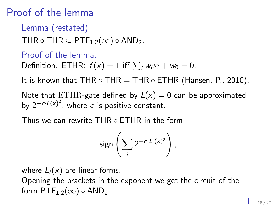# Proof of the lemma

Lemma (restated)

THR  $\circ$  THR  $\subseteq$  PTF<sub>1,2</sub>( $\infty$ )  $\circ$  AND<sub>2</sub>.

Proof of the lemma.

Definition. ETHR:  $f(x) = 1$  iff  $\sum_i w_i x_i + w_0 = 0$ .

It is known that THR  $\circ$  THR  $=$  THR  $\circ$  ETHR (Hansen, P., 2010).

Note that ETHR-gate defined by  $L(x) = 0$  can be approximated by  $2^{-c \cdot L(x)^2}$ , where c is positive constant.

Thus we can rewrite THR ○ ETHR in the form

$$
sign\left(\sum_i 2^{-c\cdot L_i(x)^2}\right),
$$

where  $L_i(x)$  are linear forms.

Opening the brackets in the exponent we get the circuit of the form  $\text{PTF}_{1,2}(\infty) \circ \text{AND}_2$ .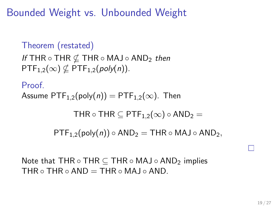```
Theorem (restated)
If THR \circ THR \notin THR \circ MAJ \circ AND<sub>2</sub> then
PTF_{1,2}(\infty) \nsubseteq PTF_{1,2}(poly(n)).
```

```
Proof.
Assume PTF_{1,2}(poly(n)) = PTF_{1,2}(\infty). Then
```

```
THR \circ THR \subset PTF<sub>1.2</sub>(\infty) \circ AND<sub>2</sub> =
```
 $PTF_{1,2}(poly(n)) \circ AND_2 = THR \circ MAJ \circ AND_2$ ,

Note that THR  $\circ$  THR  $\circ$  THR  $\circ$  MAJ  $\circ$  AND<sub>2</sub> implies THR  $\circ$  THR  $\circ$  AND  $=$  THR  $\circ$  MAJ  $\circ$  AND.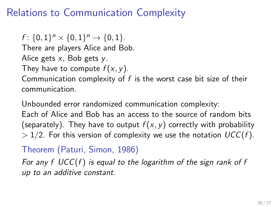# Relations to Communication Complexity

 $f: \{0,1\}^n \times \{0,1\}^n \rightarrow \{0,1\}.$ There are players Alice and Bob. Alice gets  $x$ , Bob gets  $y$ .

They have to compute  $f(x, y)$ .

Communication complexity of  $f$  is the worst case bit size of their communication.

Unbounded error randomized communication complexity:

Each of Alice and Bob has an access to the source of random bits (separately). They have to output  $f(x, y)$  correctly with probability  $> 1/2$ . For this version of complexity we use the notation  $UCC(f)$ .

Theorem (Paturi, Simon, 1986)

For any  $f$  UCC( $f$ ) is equal to the logarithm of the sign rank of  $f$ up to an additive constant.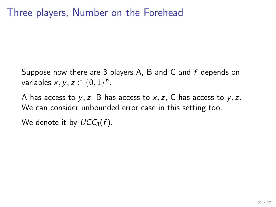# Three players, Number on the Forehead

Suppose now there are 3 players A, B and C and f depends on variables  $x, y, z \in \{0, 1\}^n$ .

A has access to  $y$ , z, B has access to  $x$ , z, C has access to  $y$ , z. We can consider unbounded error case in this setting too.

We denote it by  $UCC_3(f)$ .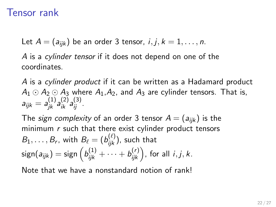# Tensor rank

Let  $A = (a_{ijk})$  be an order 3 tensor,  $i, j, k = 1, \ldots, n$ .

A is a cylinder tensor if it does not depend on one of the coordinates.

A is a cylinder product if it can be written as a Hadamard product  $A_1 \odot A_2 \odot A_3$  where  $A_1, A_2$ , and  $A_3$  are cylinder tensors. That is,  $a_{ijk} = a_{jk}^{(1)} a_{ik}^{(2)} a_{ij}^{(3)}$ .

The sign complexity of an order 3 tensor  $A = (a_{ijk})$  is the minimum  $r$  such that there exist cylinder product tensors  $B_1,\ldots,B_r$ , with  $B_\ell=(b_{ijk}^{(\ell)})$ , such that  $\mathsf{sign}(a_{ijk}) = \mathsf{sign}\left(b^{(1)}_{ijk} + \cdots + b^{(r)}_{ijk}\right)$ , for all  $i, j, k.$ 

Note that we have a nonstandard notion of rank!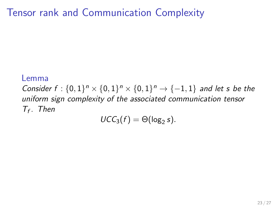# Tensor rank and Communication Complexity

#### Lemma

Consider  $f: \{0,1\}^n \times \{0,1\}^n \times \{0,1\}^n \to \{-1,1\}$  and let s be the uniform sign complexity of the associated communication tensor  $T_f$ . Then

$$
UCC_3(f) = \Theta(\log_2 s).
$$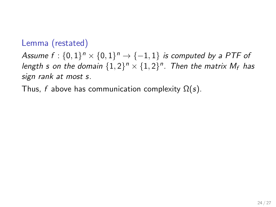### Lemma (restated)

Assume  $f: \{0,1\}^n \times \{0,1\}^n \rightarrow \{-1,1\}$  is computed by a PTF of length s on the domain  $\{1,2\}^n \times \{1,2\}^n$ . Then the matrix  $M_f$  has sign rank at most s.

Thus, f above has communication complexity  $\Omega(s)$ .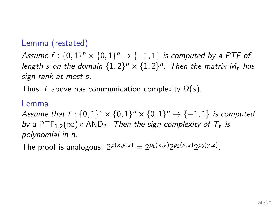### Lemma (restated)

Assume  $f: \{0,1\}^n \times \{0,1\}^n \rightarrow \{-1,1\}$  is computed by a PTF of length s on the domain  $\{1,2\}^n \times \{1,2\}^n$ . Then the matrix  $M_f$  has sign rank at most s.

Thus, f above has communication complexity  $\Omega(s)$ .

#### Lemma

Assume that  $f: \{0,1\}^n \times \{0,1\}^n \times \{0,1\}^n \to \{-1,1\}$  is computed by a  $\mathsf{PTF}_{1,2}(\infty) \circ \mathsf{AND}_2$ . Then the sign complexity of  $\mathcal{T}_f$  is polynomial in n.

The proof is analogous:  $2^{p(x,y,z)} = 2^{p_1(x,y)} 2^{p_2(x,z)} 2^{p_3(y,z)}$ .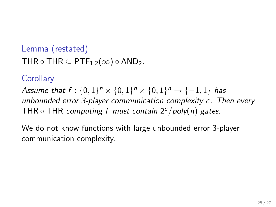Lemma (restated) THR  $\circ$  THR  $\subset$  PTF<sub>1.2</sub>( $\infty$ )  $\circ$  AND<sub>2</sub>.

### **Corollary**

Assume that  $f: \{0,1\}^n \times \{0,1\}^n \times \{0,1\}^n \to \{-1,1\}$  has unbounded error 3-player communication complexity c. Then every THR  $\circ$  THR computing f must contain  $2^c$  /poly(n) gates.

We do not know functions with large unbounded error 3-player communication complexity.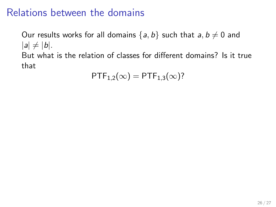# Relations between the domains

Our results works for all domains  $\{a, b\}$  such that  $a, b \neq 0$  and  $|a| \neq |b|$ . But what is the relation of classes for different domains? Is it true that

 $PTF_{1,2}(\infty) = PTF_{1,3}(\infty)$ ?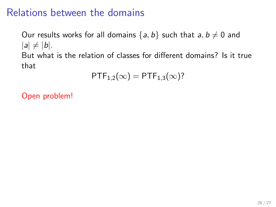# Relations between the domains

Our results works for all domains  $\{a, b\}$  such that  $a, b \neq 0$  and  $|a| \neq |b|$ . But what is the relation of classes for different domains? Is it true that

$$
\mathsf{PTF}_{1,2}(\infty)=\mathsf{PTF}_{1,3}(\infty)?
$$

Open problem!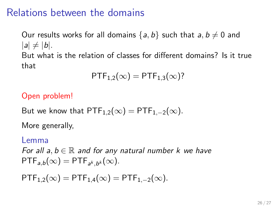# Relations between the domains

Our results works for all domains  $\{a, b\}$  such that  $a, b \neq 0$  and  $|a| \neq |b|$ . But what is the relation of classes for different domains? Is it true that

$$
\mathsf{PTF}_{1,2}(\infty)=\mathsf{PTF}_{1,3}(\infty)?
$$

#### Open problem!

But we know that  $\text{PTF}_{1,2}(\infty) = \text{PTF}_{1,-2}(\infty)$ .

More generally,

#### Lemma

For all  $a, b \in \mathbb{R}$  and for any natural number k we have  $\mathsf{PTF}_{a,b}(\infty) = \mathsf{PTF}_{a^k,b^k}(\infty).$ 

 $PTF_{1,2}(\infty) = PTF_{1,4}(\infty) = PTF_{1,-2}(\infty).$